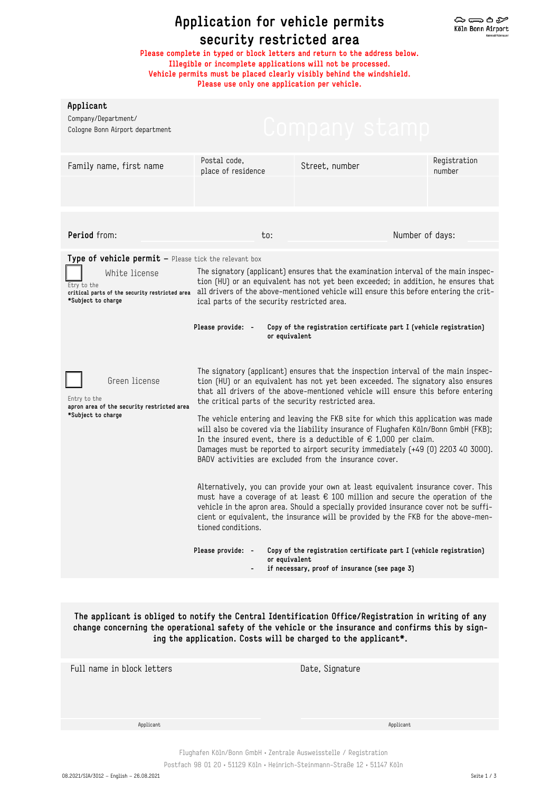## **Application for vehicle permits security restricted area**

**Please complete in typed or block letters and return to the address below. Illegible or incomplete applications will not be processed. Vehicle permits must be placed clearly visibly behind the windshield. Please use only one application per vehicle.** 

| Applicant<br>Company/Department/<br>Cologne Bonn Airport department                                                                                           |                                                                                                                                                                                                                                                                                                                                                                                                      | Lompany stam                                                                                                                                                                                                                                                                                                                                              |                        |  |  |
|---------------------------------------------------------------------------------------------------------------------------------------------------------------|------------------------------------------------------------------------------------------------------------------------------------------------------------------------------------------------------------------------------------------------------------------------------------------------------------------------------------------------------------------------------------------------------|-----------------------------------------------------------------------------------------------------------------------------------------------------------------------------------------------------------------------------------------------------------------------------------------------------------------------------------------------------------|------------------------|--|--|
| Family name, first name                                                                                                                                       | Postal code,<br>place of residence                                                                                                                                                                                                                                                                                                                                                                   | Street, number                                                                                                                                                                                                                                                                                                                                            | Registration<br>number |  |  |
|                                                                                                                                                               |                                                                                                                                                                                                                                                                                                                                                                                                      |                                                                                                                                                                                                                                                                                                                                                           |                        |  |  |
| Period from:                                                                                                                                                  | to:                                                                                                                                                                                                                                                                                                                                                                                                  | Number of days:                                                                                                                                                                                                                                                                                                                                           |                        |  |  |
| Type of vehicle permit - Please tick the relevant box<br>White license<br>Etry to the<br>critical parts of the security restricted area<br>*Subject to charge | The signatory (applicant) ensures that the examination interval of the main inspec-<br>tion (HU) or an equivalent has not yet been exceeded; in addition, he ensures that<br>all drivers of the above-mentioned vehicle will ensure this before entering the crit-<br>ical parts of the security restricted area.                                                                                    |                                                                                                                                                                                                                                                                                                                                                           |                        |  |  |
| Please provide: -<br>Copy of the registration certificate part I (vehicle registration)<br>or equivalent                                                      |                                                                                                                                                                                                                                                                                                                                                                                                      |                                                                                                                                                                                                                                                                                                                                                           |                        |  |  |
| Green license<br>Entry to the<br>apron area of the security restricted area<br>*Subject to charge                                                             | The signatory (applicant) ensures that the inspection interval of the main inspec-<br>tion (HU) or an equivalent has not yet been exceeded. The signatory also ensures<br>that all drivers of the above-mentioned vehicle will ensure this before entering<br>the critical parts of the security restricted area.                                                                                    |                                                                                                                                                                                                                                                                                                                                                           |                        |  |  |
|                                                                                                                                                               | The vehicle entering and leaving the FKB site for which this application was made<br>will also be covered via the liability insurance of Flughafen Köln/Bonn GmbH (FKB);<br>In the insured event, there is a deductible of $\epsilon$ 1,000 per claim.<br>Damages must be reported to airport security immediately (+49 (0) 2203 40 3000).<br>BADV activities are excluded from the insurance cover. |                                                                                                                                                                                                                                                                                                                                                           |                        |  |  |
|                                                                                                                                                               | tioned conditions.                                                                                                                                                                                                                                                                                                                                                                                   | Alternatively, you can provide your own at least equivalent insurance cover. This<br>must have a coverage of at least $\epsilon$ 100 million and secure the operation of the<br>vehicle in the apron area. Should a specially provided insurance cover not be suffi-<br>cient or equivalent, the insurance will be provided by the FKB for the above-men- |                        |  |  |
|                                                                                                                                                               | Please provide: -<br>or equivalent                                                                                                                                                                                                                                                                                                                                                                   | Copy of the registration certificate part I (vehicle registration)<br>if necessary, proof of insurance (see page 3)                                                                                                                                                                                                                                       |                        |  |  |
|                                                                                                                                                               |                                                                                                                                                                                                                                                                                                                                                                                                      |                                                                                                                                                                                                                                                                                                                                                           |                        |  |  |
|                                                                                                                                                               |                                                                                                                                                                                                                                                                                                                                                                                                      | natifu the Central Identification Office/Desigtration in                                                                                                                                                                                                                                                                                                  |                        |  |  |

**The applicant is obliged to notify the Central Identification Office/Registration in writing of any change concerning the operational safety of the vehicle or the insurance and confirms this by signing the application. Costs will be charged to the applicant\*.** 

| Applicant |
|-----------|
|           |
|           |

Flughafen Köln/Bonn GmbH • Zentrale Ausweisstelle / Registration Postfach 98 01 20 • 51129 Köln • Heinrich-Steinmann-Straße 12 • 51147 Köln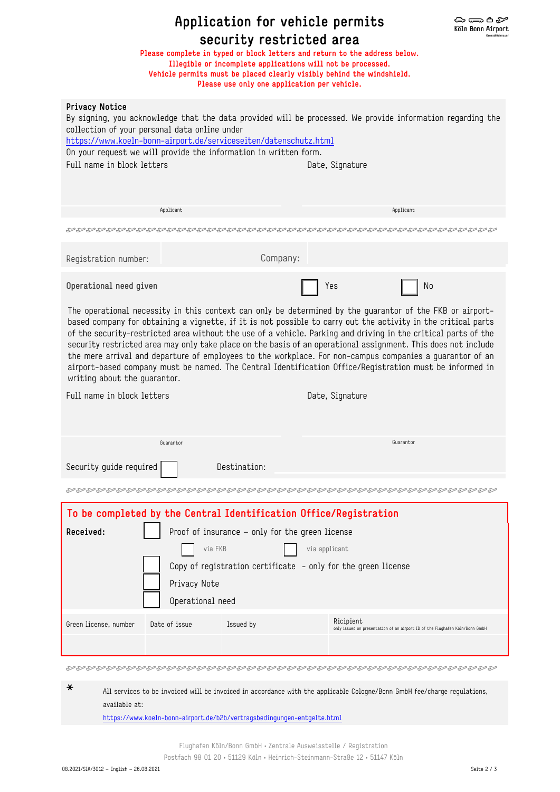| Application for vehicle permits<br>⇔⇔≏≈<br>Köln Bonn Airport<br>security restricted area<br>Please complete in typed or block letters and return to the address below.<br>Illegible or incomplete applications will not be processed.<br>Vehicle permits must be placed clearly visibly behind the windshield.<br>Please use only one application per vehicle.                                                                                                                                                                                                                                                                                                                                                      |               |                                                                                                                                      |                                                                                                                               |  |  |
|---------------------------------------------------------------------------------------------------------------------------------------------------------------------------------------------------------------------------------------------------------------------------------------------------------------------------------------------------------------------------------------------------------------------------------------------------------------------------------------------------------------------------------------------------------------------------------------------------------------------------------------------------------------------------------------------------------------------|---------------|--------------------------------------------------------------------------------------------------------------------------------------|-------------------------------------------------------------------------------------------------------------------------------|--|--|
| <b>Privacy Notice</b><br>collection of your personal data online under<br>Full name in block letters                                                                                                                                                                                                                                                                                                                                                                                                                                                                                                                                                                                                                |               | https://www.koeln-bonn-airport.de/serviceseiten/datenschutz.html<br>On your request we will provide the information in written form. | By signing, you acknowledge that the data provided will be processed. We provide information regarding the<br>Date, Signature |  |  |
|                                                                                                                                                                                                                                                                                                                                                                                                                                                                                                                                                                                                                                                                                                                     | Applicant     |                                                                                                                                      | Applicant                                                                                                                     |  |  |
|                                                                                                                                                                                                                                                                                                                                                                                                                                                                                                                                                                                                                                                                                                                     |               |                                                                                                                                      |                                                                                                                               |  |  |
| Registration number:                                                                                                                                                                                                                                                                                                                                                                                                                                                                                                                                                                                                                                                                                                |               | Company:                                                                                                                             |                                                                                                                               |  |  |
| Operational need given                                                                                                                                                                                                                                                                                                                                                                                                                                                                                                                                                                                                                                                                                              |               |                                                                                                                                      | Yes<br>No                                                                                                                     |  |  |
| The operational necessity in this context can only be determined by the guarantor of the FKB or airport-<br>based company for obtaining a vignette, if it is not possible to carry out the activity in the critical parts<br>of the security-restricted area without the use of a vehicle. Parking and driving in the critical parts of the<br>security restricted area may only take place on the basis of an operational assignment. This does not include<br>the mere arrival and departure of employees to the workplace. For non-campus companies a guarantor of an<br>airport-based company must be named. The Central Identification Office/Registration must be informed in<br>writing about the guarantor. |               |                                                                                                                                      |                                                                                                                               |  |  |
| Full name in block letters                                                                                                                                                                                                                                                                                                                                                                                                                                                                                                                                                                                                                                                                                          |               |                                                                                                                                      | Date, Signature                                                                                                               |  |  |
|                                                                                                                                                                                                                                                                                                                                                                                                                                                                                                                                                                                                                                                                                                                     | Guarantor     |                                                                                                                                      | Guarantor                                                                                                                     |  |  |
| Security guide required                                                                                                                                                                                                                                                                                                                                                                                                                                                                                                                                                                                                                                                                                             |               | Destination:                                                                                                                         |                                                                                                                               |  |  |
|                                                                                                                                                                                                                                                                                                                                                                                                                                                                                                                                                                                                                                                                                                                     |               |                                                                                                                                      |                                                                                                                               |  |  |
|                                                                                                                                                                                                                                                                                                                                                                                                                                                                                                                                                                                                                                                                                                                     |               | To be completed by the Central Identification Office/Registration                                                                    |                                                                                                                               |  |  |
| Received:<br>Proof of insurance - only for the green license<br>via applicant<br>via FKB<br>Copy of registration certificate - only for the green license<br>Privacy Note<br>Operational need                                                                                                                                                                                                                                                                                                                                                                                                                                                                                                                       |               |                                                                                                                                      |                                                                                                                               |  |  |
| Green license, number                                                                                                                                                                                                                                                                                                                                                                                                                                                                                                                                                                                                                                                                                               | Date of issue | Issued by                                                                                                                            | Ricipient<br>only issued on presentation of an airport ID of the Flughafen Köln/Bonn GmbH                                     |  |  |
|                                                                                                                                                                                                                                                                                                                                                                                                                                                                                                                                                                                                                                                                                                                     |               |                                                                                                                                      |                                                                                                                               |  |  |

\* All services to be invoiced will be invoiced in accordance with the applicable Cologne/Bonn GmbH fee/charge regulations, available at: https://www.koeln-bonn-airport.de/b2b/vertragsbedingungen-entgelte.html

Flughafen Köln/Bonn GmbH • Zentrale Ausweisstelle / Registration

Postfach 98 01 20 • 51129 Köln • Heinrich-Steinmann-Straße 12 • 51147 Köln